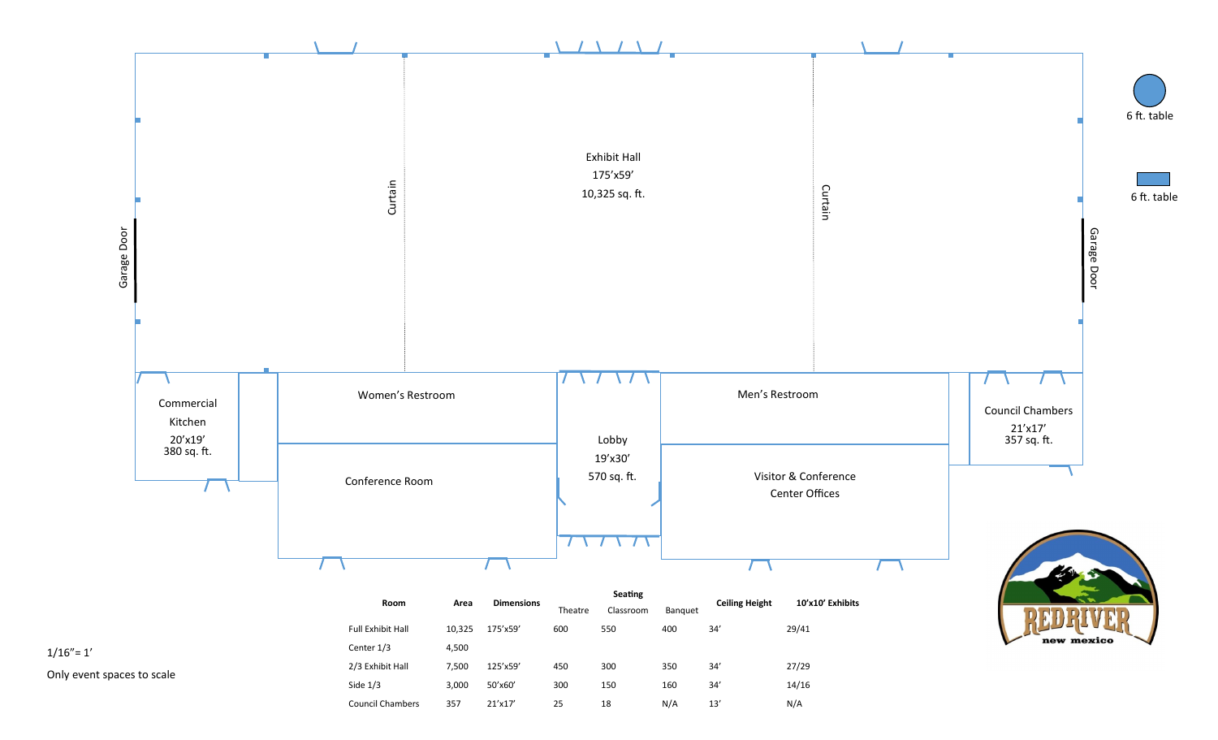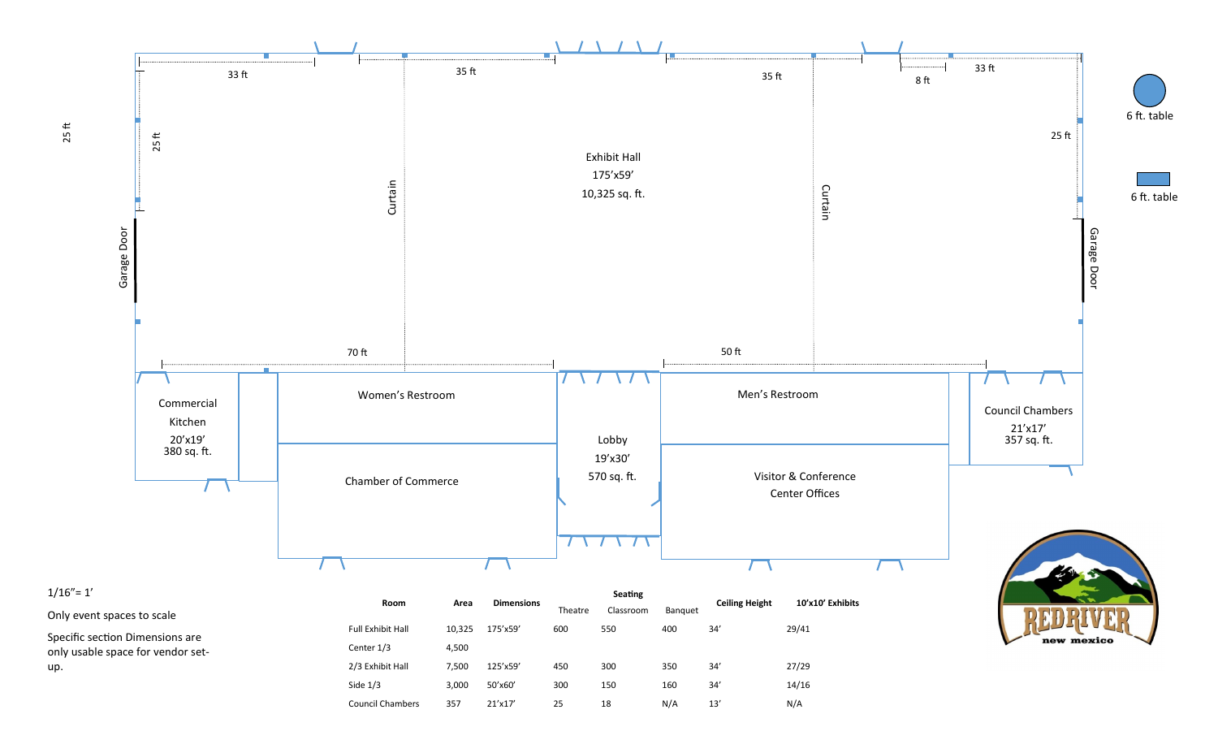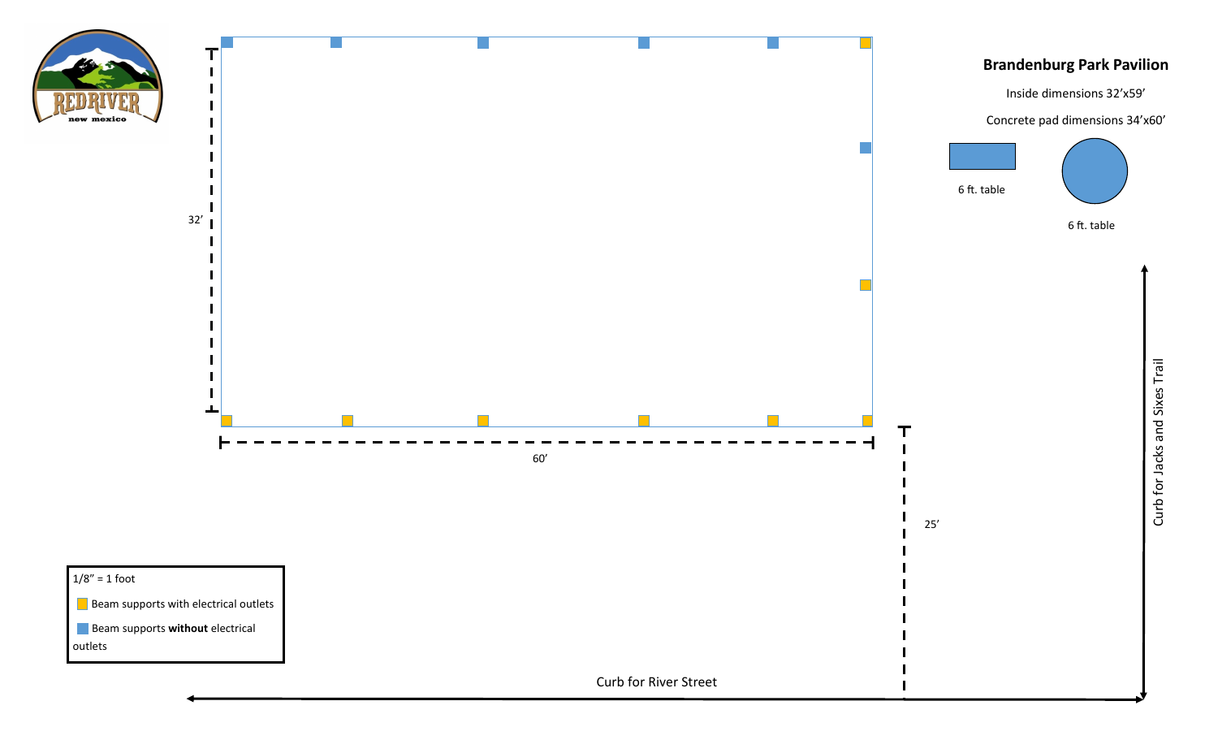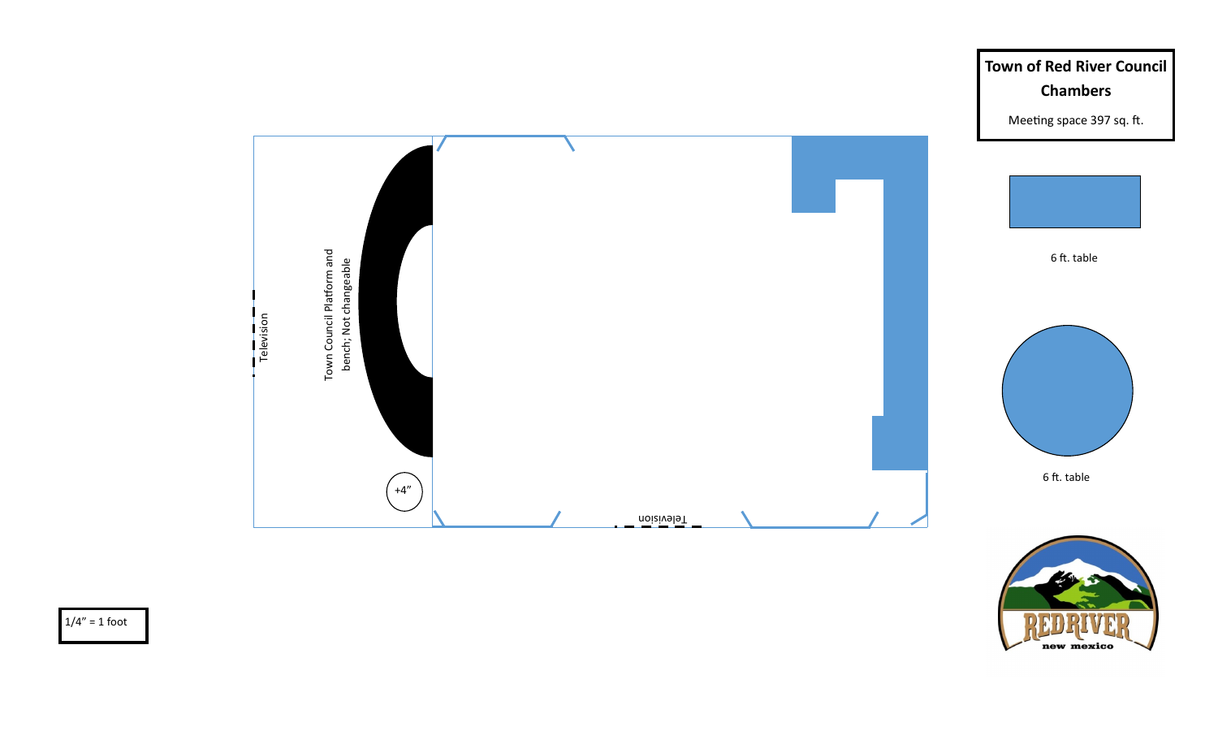



**Town of Red River Council** 

 $1/4" = 1$  foot